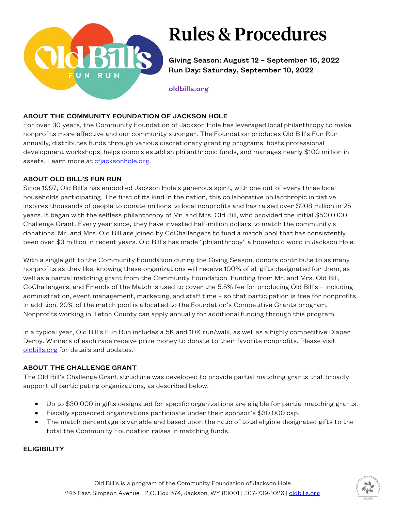

# Rules & Procedures

Giving Season: August 12 – September 16, 2022 Run Day: Saturday, September 10, 2022

[oldbills.org](http://www.oldbills.org/)

#### ABOUT THE COMMUNITY FOUNDATION OF JACKSON HOLE

For over 30 years, the Community Foundation of Jackson Hole has leveraged local philanthropy to make nonprofits more effective and our community stronger. The Foundation produces Old Bill's Fun Run annually, distributes funds through various discretionary granting programs, hosts professional development workshops, helps donors establish philanthropic funds, and manages nearly \$100 million in assets. Learn more a[t cfjacksonhole.org.](http://www.cfjacksonhole.org/)

#### ABOUT OLD BILL'S FUN RUN

Since 1997, Old Bill's has embodied Jackson Hole's generous spirit, with one out of every three local households participating. The first of its kind in the nation, this collaborative philanthropic initiative inspires thousands of people to donate millions to local nonprofits and has raised over \$208 million in 25 years. It began with the selfless philanthropy of Mr. and Mrs. Old Bill, who provided the initial \$500,000 Challenge Grant. Every year since, they have invested half-million dollars to match the community's donations. Mr. and Mrs. Old Bill are joined by CoChallengers to fund a match pool that has consistently been over \$3 million in recent years. Old Bill's has made "philanthropy" a household word in Jackson Hole.

With a single gift to the Community Foundation during the Giving Season, donors contribute to as many nonprofits as they like, knowing these organizations will receive 100% of all gifts designated for them, as well as a partial matching grant from the Community Foundation. Funding from Mr. and Mrs. Old Bill, CoChallengers, and Friends of the Match is used to cover the 5.5% fee for producing Old Bill's – including administration, event management, marketing, and staff time – so that participation is free for nonprofits. In addition, 20% of the match pool is allocated to the Foundation's Competitive Grants program. Nonprofits working in Teton County can apply annually for additional funding through this program.

In a typical year, Old Bill's Fun Run includes a 5K and 10K run/walk, as well as a highly competitive Diaper Derby. Winners of each race receive prize money to donate to their favorite nonprofits. Please visit [oldbills.org](http://www.oldbills.org/) for details and updates.

### ABOUT THE CHALLENGE GRANT

The Old Bill's Challenge Grant structure was developed to provide partial matching grants that broadly support all participating organizations, as described below.

- Up to \$30,000 in gifts designated for specific organizations are eligible for partial matching grants.
- Fiscally sponsored organizations participate under their sponsor's \$30,000 cap.
- The match percentage is variable and based upon the ratio of total eligible designated gifts to the total the Community Foundation raises in matching funds.

#### **ELIGIBILITY**

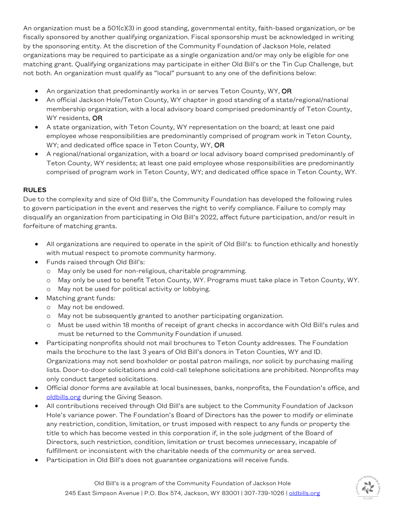An organization must be a 501(c)(3) in good standing, governmental entity, faith-based organization, or be fiscally sponsored by another qualifying organization. Fiscal sponsorship must be acknowledged in writing by the sponsoring entity. At the discretion of the Community Foundation of Jackson Hole, related organizations may be required to participate as a single organization and/or may only be eligible for one matching grant. Qualifying organizations may participate in either Old Bill's or the Tin Cup Challenge, but not both. An organization must qualify as "local" pursuant to any one of the definitions below:

- An organization that predominantly works in or serves Teton County, WY, OR
- An official Jackson Hole/Teton County, WY chapter in good standing of a state/regional/national membership organization, with a local advisory board comprised predominantly of Teton County, WY residents, OR
- A state organization, with Teton County, WY representation on the board; at least one paid employee whose responsibilities are predominantly comprised of program work in Teton County, WY; and dedicated office space in Teton County, WY, OR
- A regional/national organization, with a board or local advisory board comprised predominantly of Teton County, WY residents; at least one paid employee whose responsibilities are predominantly comprised of program work in Teton County, WY; and dedicated office space in Teton County, WY.

### RULES

Due to the complexity and size of Old Bill's, the Community Foundation has developed the following rules to govern participation in the event and reserves the right to verify compliance. Failure to comply may disqualify an organization from participating in Old Bill's 2022, affect future participation, and/or result in forfeiture of matching grants.

- All organizations are required to operate in the spirit of Old Bill's: to function ethically and honestly with mutual respect to promote community harmony.
- Funds raised through Old Bill's:
	- o May only be used for non-religious, charitable programming.
	- o May only be used to benefit Teton County, WY. Programs must take place in Teton County, WY.
	- o May not be used for political activity or lobbying.
- Matching grant funds:
	- o May not be endowed.
	- o May not be subsequently granted to another participating organization.
	- o Must be used within 18 months of receipt of grant checks in accordance with Old Bill's rules and must be returned to the Community Foundation if unused.
- Participating nonprofits should not mail brochures to Teton County addresses. The Foundation mails the brochure to the last 3 years of Old Bill's donors in Teton Counties, WY and ID. Organizations may not send boxholder or postal patron mailings, nor solicit by purchasing mailing lists. Door-to-door solicitations and cold-call telephone solicitations are prohibited. Nonprofits may only conduct targeted solicitations.
- Official donor forms are available at local businesses, banks, nonprofits, the Foundation's office, and [oldbills.org](http://www.oldbills.org/) during the Giving Season.
- All contributions received through Old Bill's are subject to the Community Foundation of Jackson Hole's variance power. The Foundation's Board of Directors has the power to modify or eliminate any restriction, condition, limitation, or trust imposed with respect to any funds or property the title to which has become vested in this corporation if, in the sole judgment of the Board of Directors, such restriction, condition, limitation or trust becomes unnecessary, incapable of fulfillment or inconsistent with the charitable needs of the community or area served.
- Participation in Old Bill's does not guarantee organizations will receive funds.

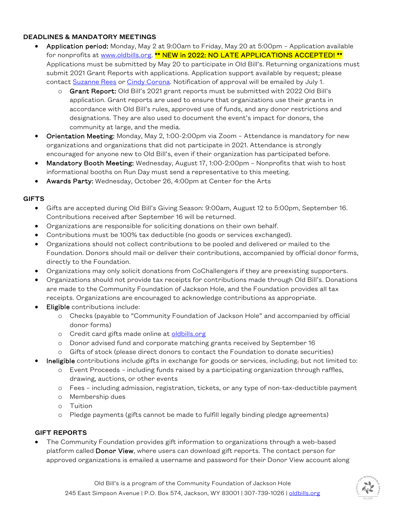#### DEADLINES & MANDATORY MEETINGS

- Application period: Monday, May 2 at 9:00am to Friday, May 20 at 5:00pm Application available for nonprofits at [www.oldbills.org.](http://www.oldbills.org/) \*\* NEW in 2022: NO LATE APPLICATIONS ACCEPTED! \*\* Applications must be submitted by May 20 to participate in Old Bill's. Returning organizations must submit 2021 Grant Reports with applications. Application support available by request; please contac[t Suzanne Rees](mailto:%20srees@cfjacksonhole.org) or [Cindy Corona.](mailto:%20ccorona@cfjacksonhole.org) Notification of approval will be emailed by July 1.
	- o Grant Report: Old Bill's 2021 grant reports must be submitted with 2022 Old Bill's application. Grant reports are used to ensure that organizations use their grants in accordance with Old Bill's rules, approved use of funds, and any donor restrictions and designations. They are also used to document the event's impact for donors, the community at large, and the media.
- Orientation Meeting: Monday, May 2, 1:00-2:00pm via Zoom Attendance is mandatory for new organizations and organizations that did not participate in 2021. Attendance is strongly encouraged for anyone new to Old Bill's, even if their organization has participated before.
- Mandatory Booth Meeting: Wednesday, August 17, 1:00-2:00pm Nonprofits that wish to host informational booths on Run Day must send a representative to this meeting.
- Awards Party: Wednesday, October 26, 4:00pm at Center for the Arts

#### **GIFTS**

- Gifts are accepted during Old Bill's Giving Season: 9:00am, August 12 to 5:00pm, September 16. Contributions received after September 16 will be returned.
- Organizations are responsible for soliciting donations on their own behalf.
- Contributions must be 100% tax deductible (no goods or services exchanged).
- Organizations should not collect contributions to be pooled and delivered or mailed to the Foundation. Donors should mail or deliver their contributions, accompanied by official donor forms, directly to the Foundation.
- Organizations may only solicit donations from CoChallengers if they are preexisting supporters.
- Organizations should not provide tax receipts for contributions made through Old Bill's. Donations are made to the Community Foundation of Jackson Hole, and the Foundation provides all tax receipts. Organizations are encouraged to acknowledge contributions as appropriate.
- **Eligible** contributions include:
	- o Checks (payable to "Community Foundation of Jackson Hole" and accompanied by official donor forms)
	- o Credit card gifts made online at [oldbills.org](http://www.oldbills.org/)
	- o Donor advised fund and corporate matching grants received by September 16
	- o Gifts of stock (please direct donors to contact the Foundation to donate securities)
- Ineligible contributions include gifts in exchange for goods or services, including, but not limited to:
	- o Event Proceeds including funds raised by a participating organization through raffles, drawing, auctions, or other events
	- o Fees including admission, registration, tickets, or any type of non-tax-deductible payment
	- o Membership dues
	- o Tuition
	- o Pledge payments (gifts cannot be made to fulfill legally binding pledge agreements)

### GIFT REPORTS

• The Community Foundation provides gift information to organizations through a web-based platform called Donor View, where users can download gift reports. The contact person for approved organizations is emailed a username and password for their Donor View account along